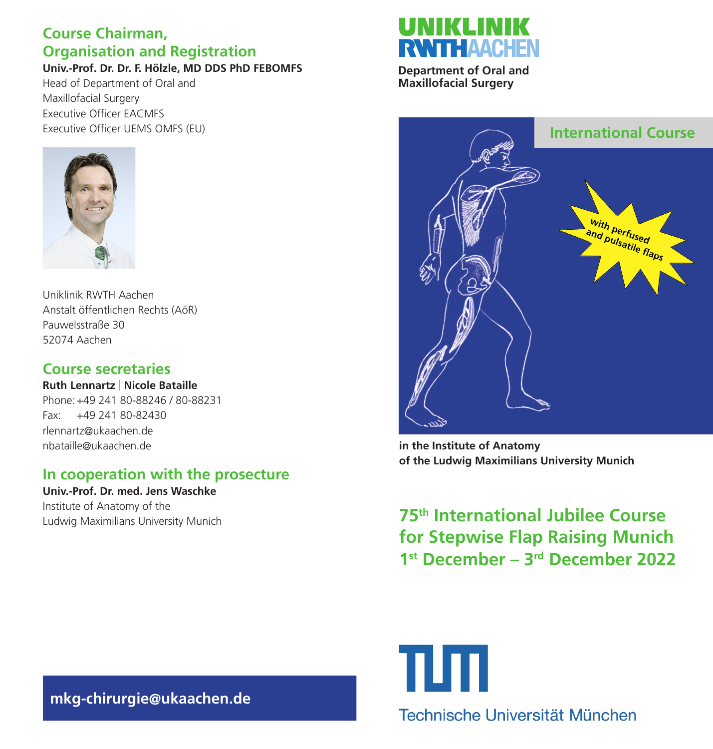# **Course Chairman, Organisation and Registration**

**Univ.-Prof. Dr. Dr. F. Hölzle, MD DDS PhD FEBOMFS**

Head of Department of Oral and Maxillofacial Surgery Executive Officer EACMFS Executive Officer UEMS OMFS (EU)



Uniklinik RWTH Aachen Anstalt öffentlichen Rechts (AöR) Pauwelsstraße 30 52074 Aachen

# **Course secretaries**

**Ruth Lennartz** | **Nicole Bataille** Phone:+49 241 80-88246 / 80-88231 Fax: +49 241 80-82430 rlennartz@ukaachen.de nbataille@ukaachen.de

# **In cooperation with the prosecture**

**Univ.-Prof. Dr. med. Jens Waschke** Institute of Anatomy of the Ludwig Maximilians University Munich

# **RWITHAACHEN**

**Department of Oral and Maxillofacial Surgery**



**in the Institute of Anatomy of the Ludwig Maximilians University Munich**

**75th International Jubilee Course for Stepwise Flap Raising Munich 1st December – 3rd December 2022**

πл Technische Universität München

**mkg-chirurgie@ukaachen.de**